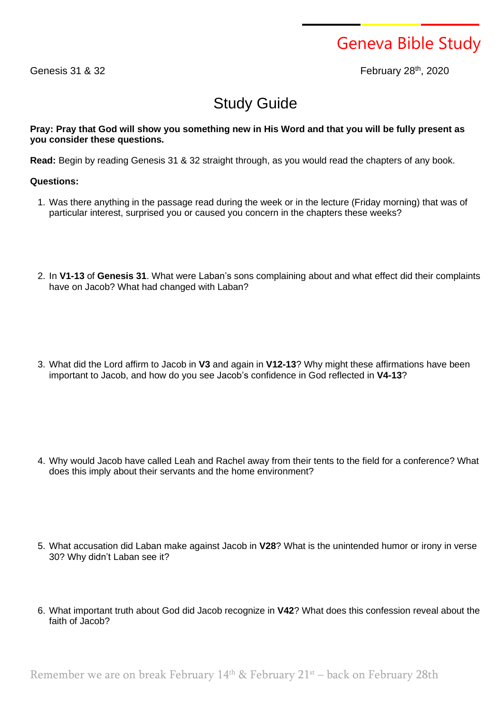## Geneva Bible Study

Genesis  $31$   $8$   $32$ 

February 28<sup>th</sup>, 2020

## Study Guide

## Pray: Pray that God will show you something new in His Word and that you will be fully present as **you consider these questions.**

**Read:** Begin by reading Genesis 31 & 32 straight through, as you would read the chapters of any book.

## **Questions:**

- 1. Was there anything in the passage read during the week or in the lecture (Friday morning) that was of particular interest, surprised you or caused you concern in the chapters these weeks?
- 2. In **V1-13** of **Genesis 31**. What were Laban's sons complaining about and what effect did their complaints have on Jacob? What had changed with Laban?
- 3. What did the Lord affirm to Jacob in **V3** and again in **V12-13**? Why might these affirmations have been important to Jacob, and how do you see Jacob's confidence in God reflected in **V4-13**?

- 4. Why would Jacob have called Leah and Rachel away from their tents to the field for a conference? What does this imply about their servants and the home environment?
- 5. What accusation did Laban make against Jacob in **V28**? What is the unintended humor or irony in verse 30? Why didn't Laban see it?
- 6. What important truth about God did Jacob recognize in **V42**? What does this confession reveal about the faith of Jacob?